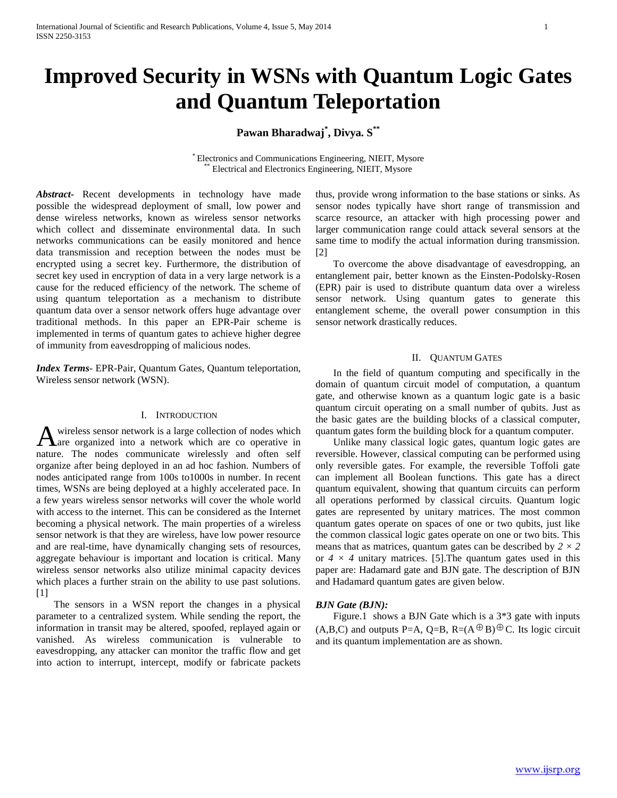# **Improved Security in WSNs with Quantum Logic Gates and Quantum Teleportation**

# **Pawan Bharadwaj\* , Divya. S\*\***

\* Electronics and Communications Engineering, NIEIT, Mysore Electrical and Electronics Engineering, NIEIT, Mysore

*Abstract***-** Recent developments in technology have made possible the widespread deployment of small, low power and dense wireless networks, known as wireless sensor networks which collect and disseminate environmental data. In such networks communications can be easily monitored and hence data transmission and reception between the nodes must be encrypted using a secret key. Furthermore, the distribution of secret key used in encryption of data in a very large network is a cause for the reduced efficiency of the network. The scheme of using quantum teleportation as a mechanism to distribute quantum data over a sensor network offers huge advantage over traditional methods. In this paper an EPR-Pair scheme is implemented in terms of quantum gates to achieve higher degree of immunity from eavesdropping of malicious nodes.

*Index Terms*- EPR-Pair, Quantum Gates, Quantum teleportation, Wireless sensor network (WSN).

# I. INTRODUCTION

wireless sensor network is a large collection of nodes which are organized into a network which are co operative in A wireless sensor network is a large collection of nodes which<br>are organized into a network which are co operative in<br>nature. The nodes communicate wirelessly and often self organize after being deployed in an ad hoc fashion. Numbers of nodes anticipated range from 100s to1000s in number. In recent times, WSNs are being deployed at a highly accelerated pace. In a few years wireless sensor networks will cover the whole world with access to the internet. This can be considered as the Internet becoming a physical network. The main properties of a wireless sensor network is that they are wireless, have low power resource and are real-time, have dynamically changing sets of resources, aggregate behaviour is important and location is critical. Many wireless sensor networks also utilize minimal capacity devices which places a further strain on the ability to use past solutions.  $[1]$ 

 The sensors in a WSN report the changes in a physical parameter to a centralized system. While sending the report, the information in transit may be altered, spoofed, replayed again or vanished. As wireless communication is vulnerable to eavesdropping, any attacker can monitor the traffic flow and get into action to interrupt, intercept, modify or fabricate packets

thus, provide wrong information to the base stations or sinks. As sensor nodes typically have short range of transmission and scarce resource, an attacker with high processing power and larger communication range could attack several sensors at the same time to modify the actual information during transmission. [2]

 To overcome the above disadvantage of eavesdropping, an entanglement pair, better known as the Einsten-Podolsky-Rosen (EPR) pair is used to distribute quantum data over a wireless sensor network. Using quantum gates to generate this entanglement scheme, the overall power consumption in this sensor network drastically reduces.

## II. QUANTUM GATES

 In the field of quantum computing and specifically in the domain of quantum circuit model of computation, a quantum gate, and otherwise known as a quantum logic gate is a basic quantum circuit operating on a small number of qubits. Just as the basic gates are the building blocks of a classical computer, quantum gates form the building block for a quantum computer.

 Unlike many classical logic gates, quantum logic gates are reversible. However, classical computing can be performed using only reversible gates. For example, the reversible Toffoli gate can implement all Boolean functions. This gate has a direct quantum equivalent, showing that quantum circuits can perform all operations performed by classical circuits. Quantum logic gates are represented by unitary matrices. The most common quantum gates operate on spaces of one or two qubits, just like the common classical logic gates operate on one or two bits. This means that as matrices, quantum gates can be described by  $2 \times 2$ or  $4 \times 4$  unitary matrices. [5]. The quantum gates used in this paper are: Hadamard gate and BJN gate. The description of BJN and Hadamard quantum gates are given below.

# *BJN Gate (BJN):*

Figure.1 shows a BJN Gate which is a  $3*3$  gate with inputs  $(A,B,C)$  and outputs P=A, Q=B, R= $(A \oplus B) \oplus C$ . Its logic circuit and its quantum implementation are as shown.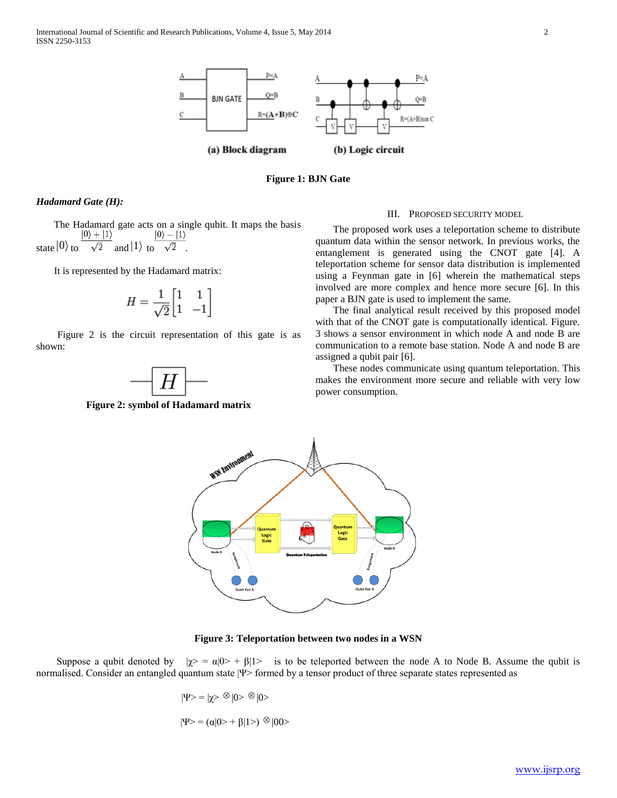



# *Hadamard Gate (H):*

 The Hadamard gate acts on a single qubit. It maps the basis state  $|0\rangle$  to  $\frac{|0\rangle + |1\rangle}{\sqrt{2}}$  and  $|1\rangle$  to  $\frac{|0\rangle - |1\rangle}{\sqrt{2}}$ .

It is represented by the Hadamard matrix:

$$
H = \frac{1}{\sqrt{2}} \begin{bmatrix} 1 & 1 \\ 1 & -1 \end{bmatrix}
$$

 Figure 2 is the circuit representation of this gate is as shown:

**Figure 2: symbol of Hadamard matrix**

### III. PROPOSED SECURITY MODEL

 The proposed work uses a teleportation scheme to distribute quantum data within the sensor network. In previous works, the entanglement is generated using the CNOT gate [4]. A teleportation scheme for sensor data distribution is implemented using a Feynman gate in [6] wherein the mathematical steps involved are more complex and hence more secure [6]. In this paper a BJN gate is used to implement the same.

 The final analytical result received by this proposed model with that of the CNOT gate is computationally identical. Figure. 3 shows a sensor environment in which node A and node B are communication to a remote base station. Node A and node B are assigned a qubit pair [6].

 These nodes communicate using quantum teleportation. This makes the environment more secure and reliable with very low power consumption.



**Figure 3: Teleportation between two nodes in a WSN**

Suppose a qubit denoted by  $|\chi\rangle = \alpha|0\rangle + \beta|1\rangle$  is to be teleported between the node A to Node B. Assume the qubit is normalised. Consider an entangled quantum state |Ψ> formed by a tensor product of three separate states represented as

$$
|\Psi\rangle = |\chi\rangle \otimes |0\rangle \otimes |0\rangle
$$

$$
|\Psi\rangle = (\alpha|0\rangle + \beta|1\rangle) \otimes |00\rangle
$$